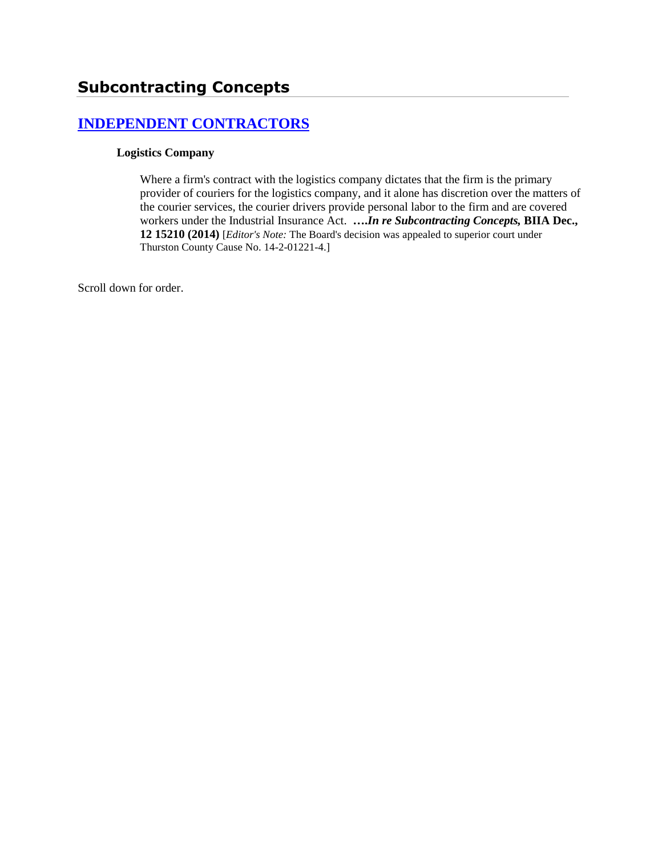# **[INDEPENDENT CONTRACTORS](http://www.biia.wa.gov/SDSubjectIndex.html#INDEPENDENT_CONTRACTORS)**

#### **Logistics Company**

Where a firm's contract with the logistics company dictates that the firm is the primary provider of couriers for the logistics company, and it alone has discretion over the matters of the courier services, the courier drivers provide personal labor to the firm and are covered workers under the Industrial Insurance Act. **….***In re Subcontracting Concepts,* **BIIA Dec., 12 15210 (2014)** [*Editor's Note:* The Board's decision was appealed to superior court under Thurston County Cause No. 14-2-01221-4.]

Scroll down for order.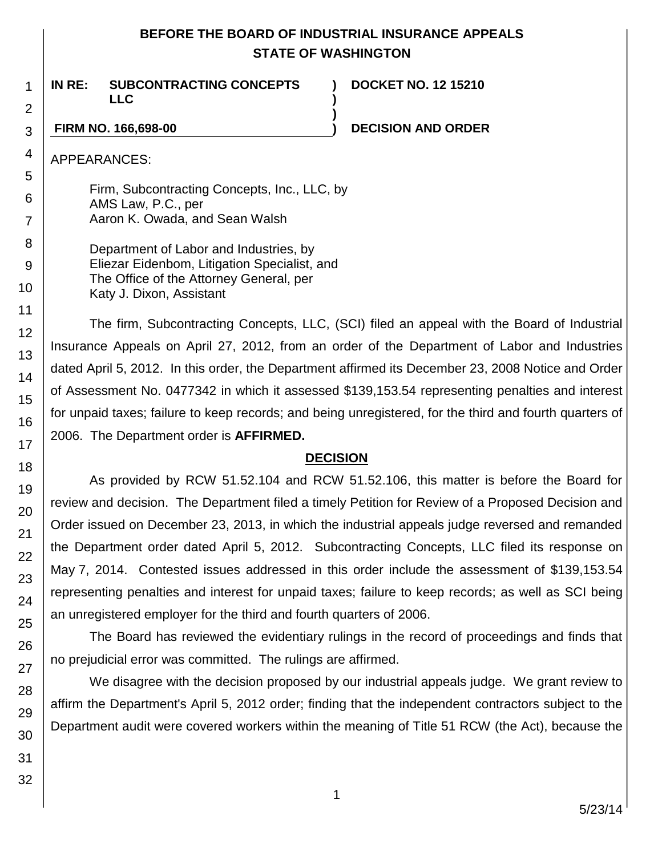## **BEFORE THE BOARD OF INDUSTRIAL INSURANCE APPEALS STATE OF WASHINGTON**

**) )**

**)**

**IN RE: SUBCONTRACTING CONCEPTS LLC**

**DOCKET NO. 12 15210**

### **FIRM NO. 166,698-00 ) DECISION AND ORDER**

APPEARANCES:

Firm, Subcontracting Concepts, Inc., LLC, by AMS Law, P.C., per Aaron K. Owada, and Sean Walsh

Department of Labor and Industries, by Eliezar Eidenbom, Litigation Specialist, and The Office of the Attorney General, per Katy J. Dixon, Assistant

The firm, Subcontracting Concepts, LLC, (SCI) filed an appeal with the Board of Industrial Insurance Appeals on April 27, 2012, from an order of the Department of Labor and Industries dated April 5, 2012. In this order, the Department affirmed its December 23, 2008 Notice and Order of Assessment No. 0477342 in which it assessed \$139,153.54 representing penalties and interest for unpaid taxes; failure to keep records; and being unregistered, for the third and fourth quarters of 2006. The Department order is **AFFIRMED.**

## **DECISION**

As provided by RCW 51.52.104 and RCW 51.52.106, this matter is before the Board for review and decision. The Department filed a timely Petition for Review of a Proposed Decision and Order issued on December 23, 2013, in which the industrial appeals judge reversed and remanded the Department order dated April 5, 2012. Subcontracting Concepts, LLC filed its response on May 7, 2014. Contested issues addressed in this order include the assessment of \$139,153.54 representing penalties and interest for unpaid taxes; failure to keep records; as well as SCI being an unregistered employer for the third and fourth quarters of 2006.

The Board has reviewed the evidentiary rulings in the record of proceedings and finds that no prejudicial error was committed. The rulings are affirmed.

We disagree with the decision proposed by our industrial appeals judge. We grant review to affirm the Department's April 5, 2012 order; finding that the independent contractors subject to the Department audit were covered workers within the meaning of Title 51 RCW (the Act), because the

1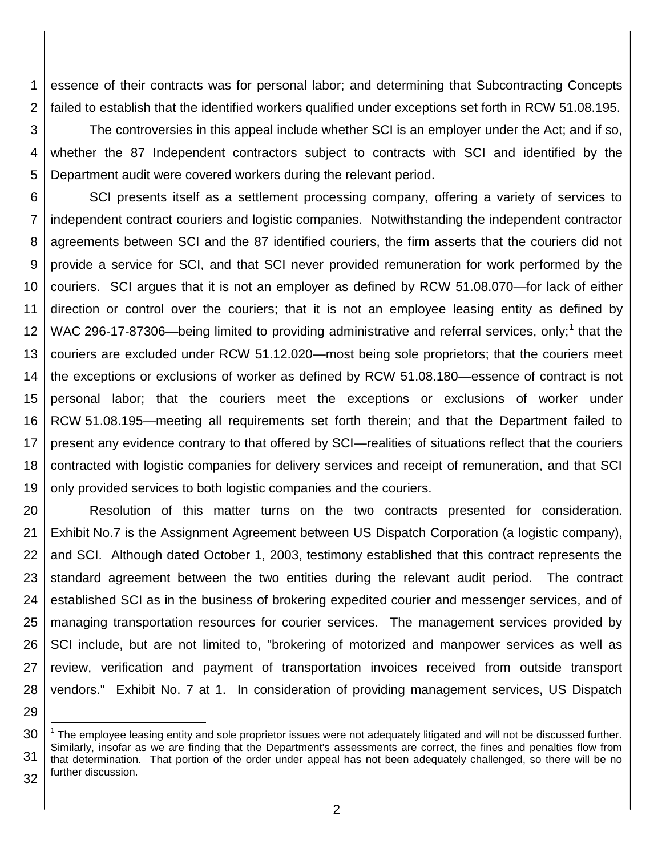1 2 essence of their contracts was for personal labor; and determining that Subcontracting Concepts failed to establish that the identified workers qualified under exceptions set forth in RCW 51.08.195.

3 4 5 The controversies in this appeal include whether SCI is an employer under the Act; and if so, whether the 87 Independent contractors subject to contracts with SCI and identified by the Department audit were covered workers during the relevant period.

6 7 8 9 10 11 12 13 14 15 16 17 18 19 SCI presents itself as a settlement processing company, offering a variety of services to independent contract couriers and logistic companies. Notwithstanding the independent contractor agreements between SCI and the 87 identified couriers, the firm asserts that the couriers did not provide a service for SCI, and that SCI never provided remuneration for work performed by the couriers. SCI argues that it is not an employer as defined by RCW 51.08.070—for lack of either direction or control over the couriers; that it is not an employee leasing entity as defined by WAC 296-17-87306—being limited to providing administrative and referral services, only;<sup>1</sup> that the couriers are excluded under RCW 51.12.020—most being sole proprietors; that the couriers meet the exceptions or exclusions of worker as defined by RCW 51.08.180—essence of contract is not personal labor; that the couriers meet the exceptions or exclusions of worker under RCW 51.08.195—meeting all requirements set forth therein; and that the Department failed to present any evidence contrary to that offered by SCI—realities of situations reflect that the couriers contracted with logistic companies for delivery services and receipt of remuneration, and that SCI only provided services to both logistic companies and the couriers.

20 21 22 23 24 25 26 27 28 Resolution of this matter turns on the two contracts presented for consideration. Exhibit No.7 is the Assignment Agreement between US Dispatch Corporation (a logistic company), and SCI. Although dated October 1, 2003, testimony established that this contract represents the standard agreement between the two entities during the relevant audit period. The contract established SCI as in the business of brokering expedited courier and messenger services, and of managing transportation resources for courier services. The management services provided by SCI include, but are not limited to, "brokering of motorized and manpower services as well as review, verification and payment of transportation invoices received from outside transport vendors." Exhibit No. 7 at 1. In consideration of providing management services, US Dispatch

29

l

<sup>30</sup> 31 32 <sup>1</sup> The employee leasing entity and sole proprietor issues were not adequately litigated and will not be discussed further. Similarly, insofar as we are finding that the Department's assessments are correct, the fines and penalties flow from that determination. That portion of the order under appeal has not been adequately challenged, so there will be no further discussion.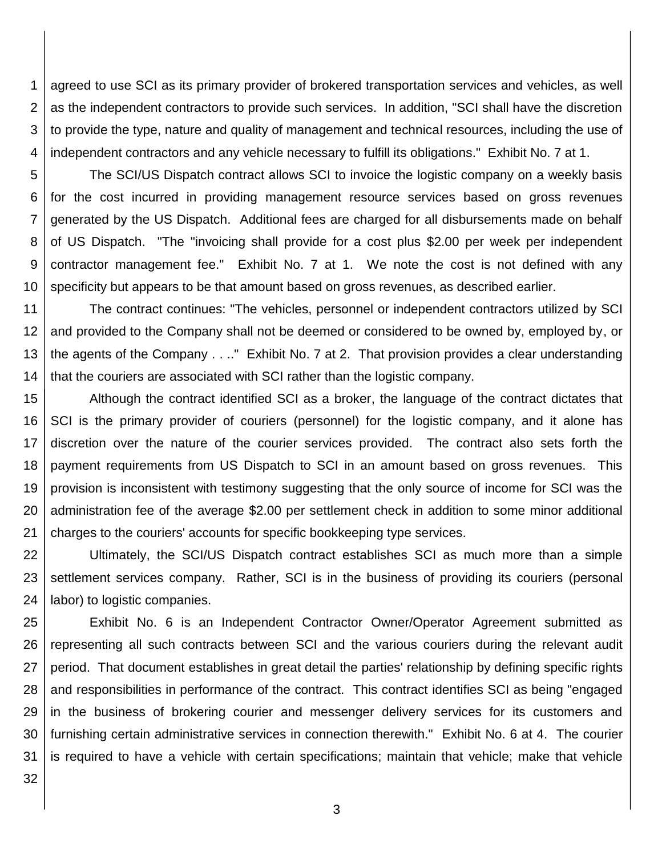1 2 3 4 agreed to use SCI as its primary provider of brokered transportation services and vehicles, as well as the independent contractors to provide such services. In addition, "SCI shall have the discretion to provide the type, nature and quality of management and technical resources, including the use of independent contractors and any vehicle necessary to fulfill its obligations." Exhibit No. 7 at 1.

5 6 7 8 9 10 The SCI/US Dispatch contract allows SCI to invoice the logistic company on a weekly basis for the cost incurred in providing management resource services based on gross revenues generated by the US Dispatch. Additional fees are charged for all disbursements made on behalf of US Dispatch. "The "invoicing shall provide for a cost plus \$2.00 per week per independent contractor management fee." Exhibit No. 7 at 1. We note the cost is not defined with any specificity but appears to be that amount based on gross revenues, as described earlier.

11 12 13 14 The contract continues: "The vehicles, personnel or independent contractors utilized by SCI and provided to the Company shall not be deemed or considered to be owned by, employed by, or the agents of the Company . . .." Exhibit No. 7 at 2. That provision provides a clear understanding that the couriers are associated with SCI rather than the logistic company.

15 16 17 18 19 20 21 Although the contract identified SCI as a broker, the language of the contract dictates that SCI is the primary provider of couriers (personnel) for the logistic company, and it alone has discretion over the nature of the courier services provided. The contract also sets forth the payment requirements from US Dispatch to SCI in an amount based on gross revenues. This provision is inconsistent with testimony suggesting that the only source of income for SCI was the administration fee of the average \$2.00 per settlement check in addition to some minor additional charges to the couriers' accounts for specific bookkeeping type services.

22 23 24 Ultimately, the SCI/US Dispatch contract establishes SCI as much more than a simple settlement services company. Rather, SCI is in the business of providing its couriers (personal labor) to logistic companies.

25 26 27 28 29 30 31 Exhibit No. 6 is an Independent Contractor Owner/Operator Agreement submitted as representing all such contracts between SCI and the various couriers during the relevant audit period. That document establishes in great detail the parties' relationship by defining specific rights and responsibilities in performance of the contract. This contract identifies SCI as being "engaged in the business of brokering courier and messenger delivery services for its customers and furnishing certain administrative services in connection therewith." Exhibit No. 6 at 4. The courier is required to have a vehicle with certain specifications; maintain that vehicle; make that vehicle

32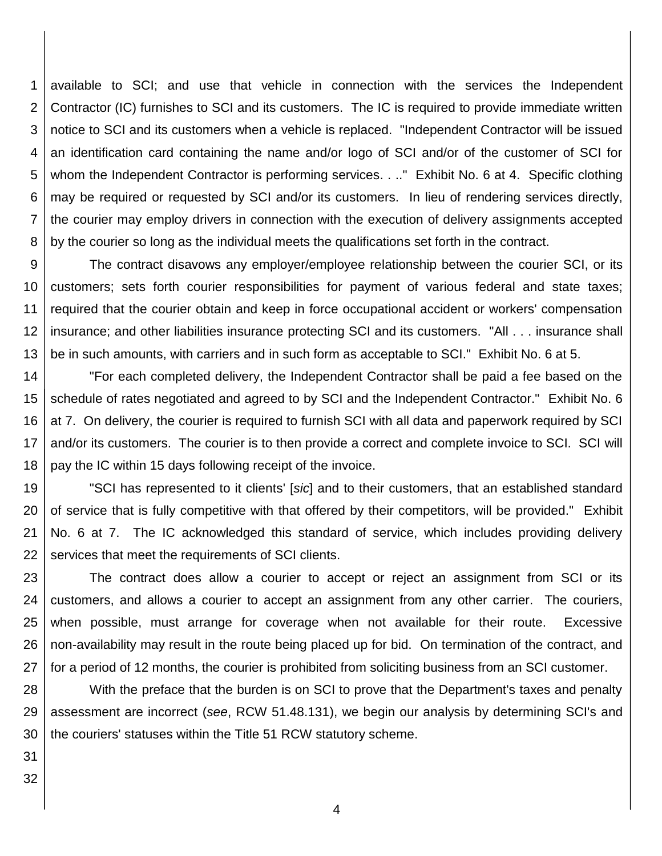1 2 3 4 5 6 7 8 available to SCI; and use that vehicle in connection with the services the Independent Contractor (IC) furnishes to SCI and its customers. The IC is required to provide immediate written notice to SCI and its customers when a vehicle is replaced. "Independent Contractor will be issued an identification card containing the name and/or logo of SCI and/or of the customer of SCI for whom the Independent Contractor is performing services. . .." Exhibit No. 6 at 4. Specific clothing may be required or requested by SCI and/or its customers. In lieu of rendering services directly, the courier may employ drivers in connection with the execution of delivery assignments accepted by the courier so long as the individual meets the qualifications set forth in the contract.

9 10 11 12 13 The contract disavows any employer/employee relationship between the courier SCI, or its customers; sets forth courier responsibilities for payment of various federal and state taxes; required that the courier obtain and keep in force occupational accident or workers' compensation insurance; and other liabilities insurance protecting SCI and its customers. "All . . . insurance shall be in such amounts, with carriers and in such form as acceptable to SCI." Exhibit No. 6 at 5.

14 15 16 17 18 "For each completed delivery, the Independent Contractor shall be paid a fee based on the schedule of rates negotiated and agreed to by SCI and the Independent Contractor." Exhibit No. 6 at 7. On delivery, the courier is required to furnish SCI with all data and paperwork required by SCI and/or its customers. The courier is to then provide a correct and complete invoice to SCI. SCI will pay the IC within 15 days following receipt of the invoice.

19 20 21 22 "SCI has represented to it clients' [*sic*] and to their customers, that an established standard of service that is fully competitive with that offered by their competitors, will be provided." Exhibit No. 6 at 7. The IC acknowledged this standard of service, which includes providing delivery services that meet the requirements of SCI clients.

23 24 25 26 27 The contract does allow a courier to accept or reject an assignment from SCI or its customers, and allows a courier to accept an assignment from any other carrier. The couriers, when possible, must arrange for coverage when not available for their route. Excessive non-availability may result in the route being placed up for bid. On termination of the contract, and for a period of 12 months, the courier is prohibited from soliciting business from an SCI customer.

28 29 30 With the preface that the burden is on SCI to prove that the Department's taxes and penalty assessment are incorrect (*see*, RCW 51.48.131), we begin our analysis by determining SCI's and the couriers' statuses within the Title 51 RCW statutory scheme.

31 32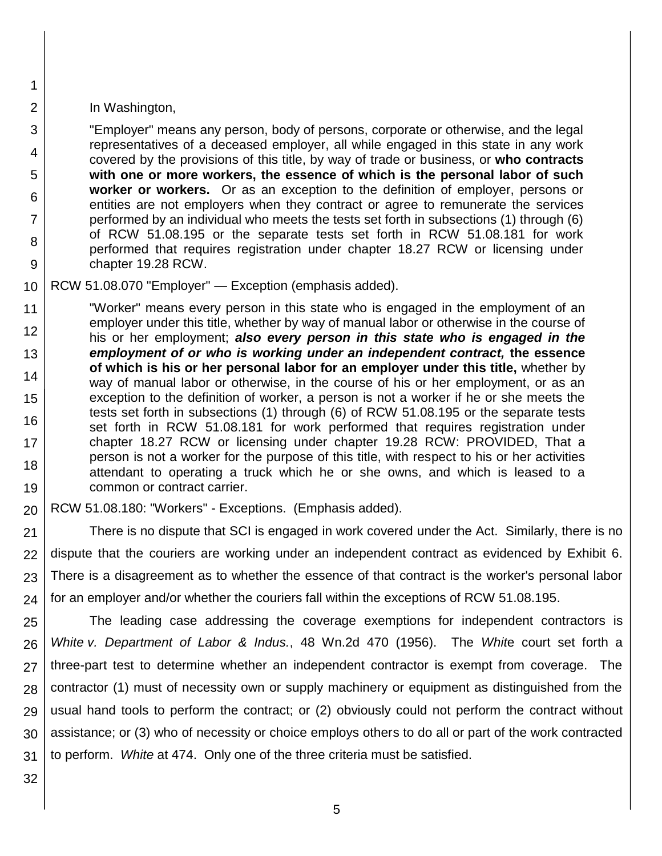#### In Washington,

1

2

3

4

5

6

7

8

9

"Employer" means any person, body of persons, corporate or otherwise, and the legal representatives of a deceased employer, all while engaged in this state in any work covered by the provisions of this title, by way of trade or business, or **who contracts with one or more workers, the essence of which is the personal labor of such worker or workers.** Or as an exception to the definition of employer, persons or entities are not employers when they contract or agree to remunerate the services performed by an individual who meets the tests set forth in subsections (1) through (6) of RCW 51.08.195 or the separate tests set forth in RCW 51.08.181 for work performed that requires registration under chapter 18.27 RCW or licensing under chapter 19.28 RCW.

10 RCW 51.08.070 "Employer" — Exception (emphasis added).

11 12 13 14 15 16 17 18 19 "Worker" means every person in this state who is engaged in the employment of an employer under this title, whether by way of manual labor or otherwise in the course of his or her employment; *also every person in this state who is engaged in the employment of or who is working under an independent contract,* **the essence of which is his or her personal labor for an employer under this title,** whether by way of manual labor or otherwise, in the course of his or her employment, or as an exception to the definition of worker, a person is not a worker if he or she meets the tests set forth in subsections (1) through (6) of RCW 51.08.195 or the separate tests set forth in RCW 51.08.181 for work performed that requires registration under chapter 18.27 RCW or licensing under chapter 19.28 RCW: PROVIDED, That a person is not a worker for the purpose of this title, with respect to his or her activities attendant to operating a truck which he or she owns, and which is leased to a common or contract carrier.

20 RCW 51.08.180: "Workers" - Exceptions. (Emphasis added).

21 22 23 24 There is no dispute that SCI is engaged in work covered under the Act. Similarly, there is no dispute that the couriers are working under an independent contract as evidenced by Exhibit 6. There is a disagreement as to whether the essence of that contract is the worker's personal labor for an employer and/or whether the couriers fall within the exceptions of RCW 51.08.195.

25 26 27 28 29 30 31 The leading case addressing the coverage exemptions for independent contractors is *White v. Department of Labor & Indus.*, 48 Wn.2d 470 (1956). The *Whit*e court set forth a three-part test to determine whether an independent contractor is exempt from coverage. The contractor (1) must of necessity own or supply machinery or equipment as distinguished from the usual hand tools to perform the contract; or (2) obviously could not perform the contract without assistance; or (3) who of necessity or choice employs others to do all or part of the work contracted to perform. *White* at 474. Only one of the three criteria must be satisfied.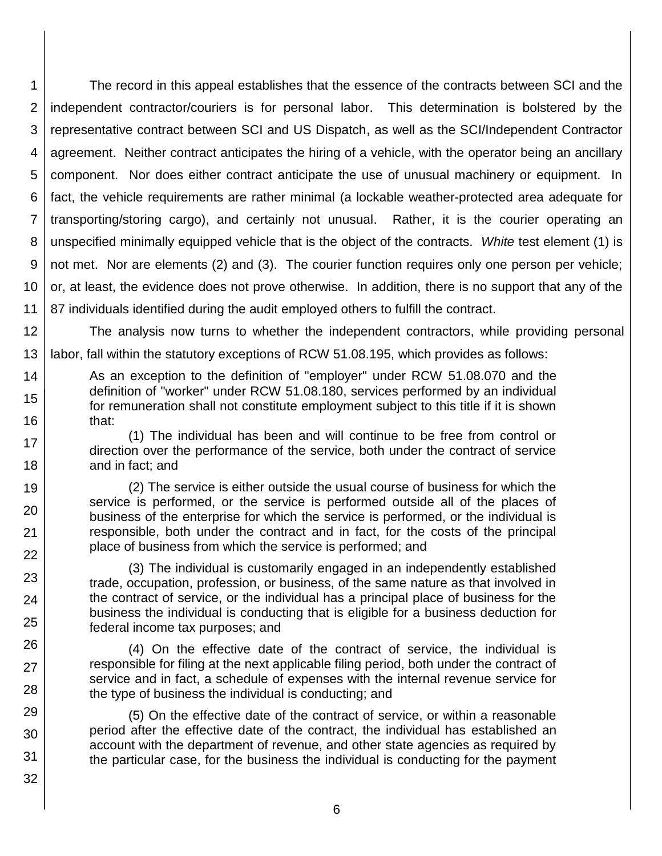1 2 3 4 5 6 7 8 9 10 11 The record in this appeal establishes that the essence of the contracts between SCI and the independent contractor/couriers is for personal labor. This determination is bolstered by the representative contract between SCI and US Dispatch, as well as the SCI/Independent Contractor agreement. Neither contract anticipates the hiring of a vehicle, with the operator being an ancillary component. Nor does either contract anticipate the use of unusual machinery or equipment. In fact, the vehicle requirements are rather minimal (a lockable weather-protected area adequate for transporting/storing cargo), and certainly not unusual. Rather, it is the courier operating an unspecified minimally equipped vehicle that is the object of the contracts. *White* test element (1) is not met. Nor are elements (2) and (3). The courier function requires only one person per vehicle; or, at least, the evidence does not prove otherwise. In addition, there is no support that any of the 87 individuals identified during the audit employed others to fulfill the contract.

12 The analysis now turns to whether the independent contractors, while providing personal

13 labor, fall within the statutory exceptions of RCW 51.08.195, which provides as follows:

17 18

19

20

21 22

23

24

25

26

27

28

29 30

31

32

14 15 16 As an exception to the definition of "employer" under RCW 51.08.070 and the definition of "worker" under RCW 51.08.180, services performed by an individual for remuneration shall not constitute employment subject to this title if it is shown that:

> (1) The individual has been and will continue to be free from control or direction over the performance of the service, both under the contract of service and in fact; and

> (2) The service is either outside the usual course of business for which the service is performed, or the service is performed outside all of the places of business of the enterprise for which the service is performed, or the individual is responsible, both under the contract and in fact, for the costs of the principal place of business from which the service is performed; and

> (3) The individual is customarily engaged in an independently established trade, occupation, profession, or business, of the same nature as that involved in the contract of service, or the individual has a principal place of business for the business the individual is conducting that is eligible for a business deduction for federal income tax purposes; and

> (4) On the effective date of the contract of service, the individual is responsible for filing at the next applicable filing period, both under the contract of service and in fact, a schedule of expenses with the internal revenue service for the type of business the individual is conducting; and

> (5) On the effective date of the contract of service, or within a reasonable period after the effective date of the contract, the individual has established an account with the department of revenue, and other state agencies as required by the particular case, for the business the individual is conducting for the payment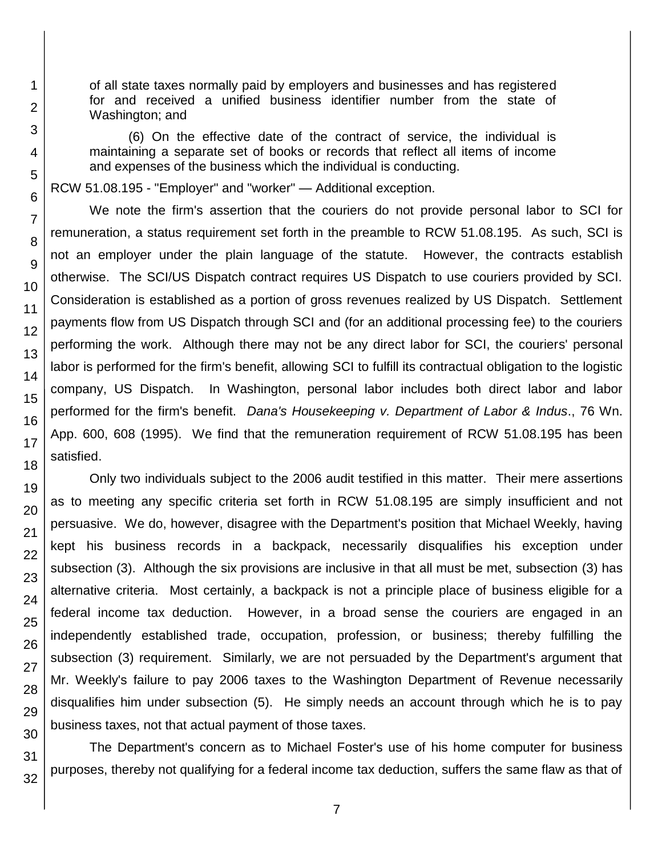of all state taxes normally paid by employers and businesses and has registered for and received a unified business identifier number from the state of Washington; and

(6) On the effective date of the contract of service, the individual is maintaining a separate set of books or records that reflect all items of income and expenses of the business which the individual is conducting.

RCW 51.08.195 - "Employer" and "worker" — Additional exception.

We note the firm's assertion that the couriers do not provide personal labor to SCI for remuneration, a status requirement set forth in the preamble to RCW 51.08.195. As such, SCI is not an employer under the plain language of the statute. However, the contracts establish otherwise. The SCI/US Dispatch contract requires US Dispatch to use couriers provided by SCI. Consideration is established as a portion of gross revenues realized by US Dispatch. Settlement payments flow from US Dispatch through SCI and (for an additional processing fee) to the couriers performing the work. Although there may not be any direct labor for SCI, the couriers' personal labor is performed for the firm's benefit, allowing SCI to fulfill its contractual obligation to the logistic company, US Dispatch. In Washington, personal labor includes both direct labor and labor performed for the firm's benefit. *Dana's Housekeeping v. Department of Labor & Indus*., 76 Wn. App. 600, 608 (1995). We find that the remuneration requirement of RCW 51.08.195 has been satisfied.

Only two individuals subject to the 2006 audit testified in this matter. Their mere assertions as to meeting any specific criteria set forth in RCW 51.08.195 are simply insufficient and not persuasive. We do, however, disagree with the Department's position that Michael Weekly, having kept his business records in a backpack, necessarily disqualifies his exception under subsection (3). Although the six provisions are inclusive in that all must be met, subsection (3) has alternative criteria. Most certainly, a backpack is not a principle place of business eligible for a federal income tax deduction. However, in a broad sense the couriers are engaged in an independently established trade, occupation, profession, or business; thereby fulfilling the subsection (3) requirement. Similarly, we are not persuaded by the Department's argument that Mr. Weekly's failure to pay 2006 taxes to the Washington Department of Revenue necessarily disqualifies him under subsection (5). He simply needs an account through which he is to pay business taxes, not that actual payment of those taxes.

The Department's concern as to Michael Foster's use of his home computer for business purposes, thereby not qualifying for a federal income tax deduction, suffers the same flaw as that of

32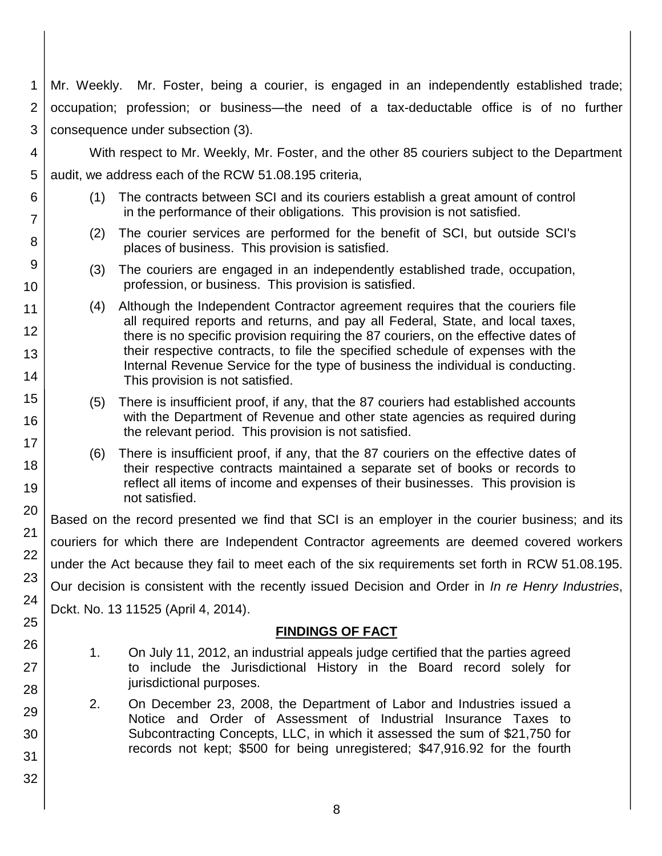- 1 2 3 Mr. Weekly. Mr. Foster, being a courier, is engaged in an independently established trade; occupation; profession; or business—the need of a tax-deductable office is of no further consequence under subsection (3).
- 4 5 With respect to Mr. Weekly, Mr. Foster, and the other 85 couriers subject to the Department audit, we address each of the RCW 51.08.195 criteria,
	- (1) The contracts between SCI and its couriers establish a great amount of control in the performance of their obligations. This provision is not satisfied.
	- (2) The courier services are performed for the benefit of SCI, but outside SCI's places of business. This provision is satisfied.
	- (3) The couriers are engaged in an independently established trade, occupation, profession, or business. This provision is satisfied.
	- (4) Although the Independent Contractor agreement requires that the couriers file all required reports and returns, and pay all Federal, State, and local taxes, there is no specific provision requiring the 87 couriers, on the effective dates of their respective contracts, to file the specified schedule of expenses with the Internal Revenue Service for the type of business the individual is conducting. This provision is not satisfied.
	- (5) There is insufficient proof, if any, that the 87 couriers had established accounts with the Department of Revenue and other state agencies as required during the relevant period. This provision is not satisfied.
	- (6) There is insufficient proof, if any, that the 87 couriers on the effective dates of their respective contracts maintained a separate set of books or records to reflect all items of income and expenses of their businesses. This provision is not satisfied.

Based on the record presented we find that SCI is an employer in the courier business; and its couriers for which there are Independent Contractor agreements are deemed covered workers under the Act because they fail to meet each of the six requirements set forth in RCW 51.08.195. Our decision is consistent with the recently issued Decision and Order in *In re Henry Industries*, Dckt. No. 13 11525 (April 4, 2014).

## **FINDINGS OF FACT**

- 1. On July 11, 2012, an industrial appeals judge certified that the parties agreed to include the Jurisdictional History in the Board record solely for jurisdictional purposes.
- 2. On December 23, 2008, the Department of Labor and Industries issued a Notice and Order of Assessment of Industrial Insurance Taxes to Subcontracting Concepts, LLC, in which it assessed the sum of \$21,750 for records not kept; \$500 for being unregistered; \$47,916.92 for the fourth
- 24 25 26 27 28 29 30 31

6

7

8

9

10

11

12

13

14

15

16

17 18

19

20

21

22

23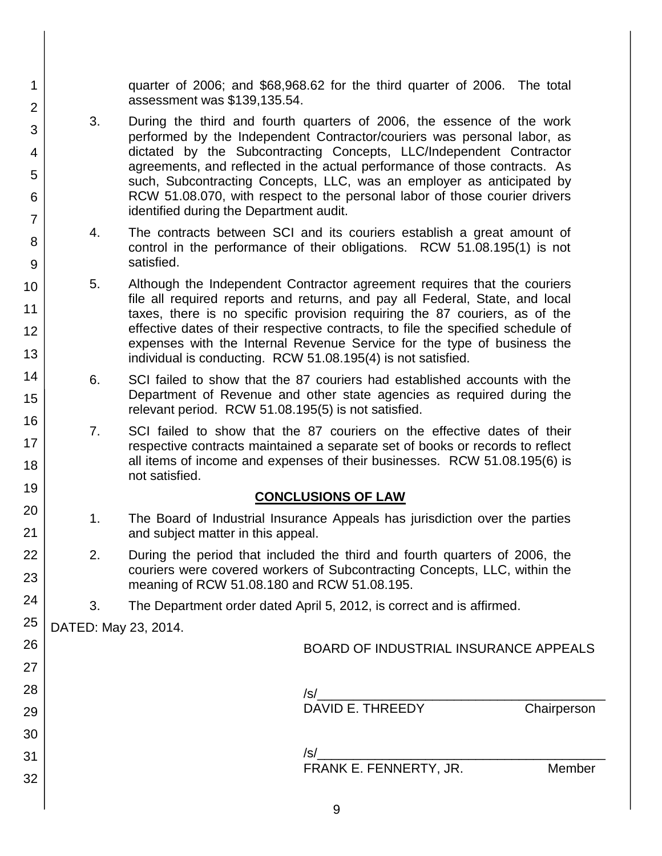quarter of 2006; and \$68,968.62 for the third quarter of 2006. The total assessment was \$139,135.54.

- 3. During the third and fourth quarters of 2006, the essence of the work performed by the Independent Contractor/couriers was personal labor, as dictated by the Subcontracting Concepts, LLC/Independent Contractor agreements, and reflected in the actual performance of those contracts. As such, Subcontracting Concepts, LLC, was an employer as anticipated by RCW 51.08.070, with respect to the personal labor of those courier drivers identified during the Department audit.
- 4. The contracts between SCI and its couriers establish a great amount of control in the performance of their obligations. RCW 51.08.195(1) is not satisfied.
- 5. Although the Independent Contractor agreement requires that the couriers file all required reports and returns, and pay all Federal, State, and local taxes, there is no specific provision requiring the 87 couriers, as of the effective dates of their respective contracts, to file the specified schedule of expenses with the Internal Revenue Service for the type of business the individual is conducting. RCW 51.08.195(4) is not satisfied.
- 6. SCI failed to show that the 87 couriers had established accounts with the Department of Revenue and other state agencies as required during the relevant period. RCW 51.08.195(5) is not satisfied.
- 7. SCI failed to show that the 87 couriers on the effective dates of their respective contracts maintained a separate set of books or records to reflect all items of income and expenses of their businesses. RCW 51.08.195(6) is not satisfied.

## **CONCLUSIONS OF LAW**

- 1. The Board of Industrial Insurance Appeals has jurisdiction over the parties and subject matter in this appeal.
- 2. During the period that included the third and fourth quarters of 2006, the couriers were covered workers of Subcontracting Concepts, LLC, within the meaning of RCW 51.08.180 and RCW 51.08.195.
- 3. The Department order dated April 5, 2012, is correct and is affirmed.

DATED: May 23, 2014.

1

2

3

4

5

6

7

8

9

10

11

12

13

14

15

16

17 18

19

20

21

22

23

24

| 26 | BOARD OF INDUSTRIAL INSURANCE APPEALS |
|----|---------------------------------------|
| 27 |                                       |
| 28 | /s/                                   |
| 29 | DAVID E. THREEDY<br>Chairperson       |
| 30 |                                       |
| 31 | /s/                                   |
| 32 | FRANK E. FENNERTY, JR.<br>Member      |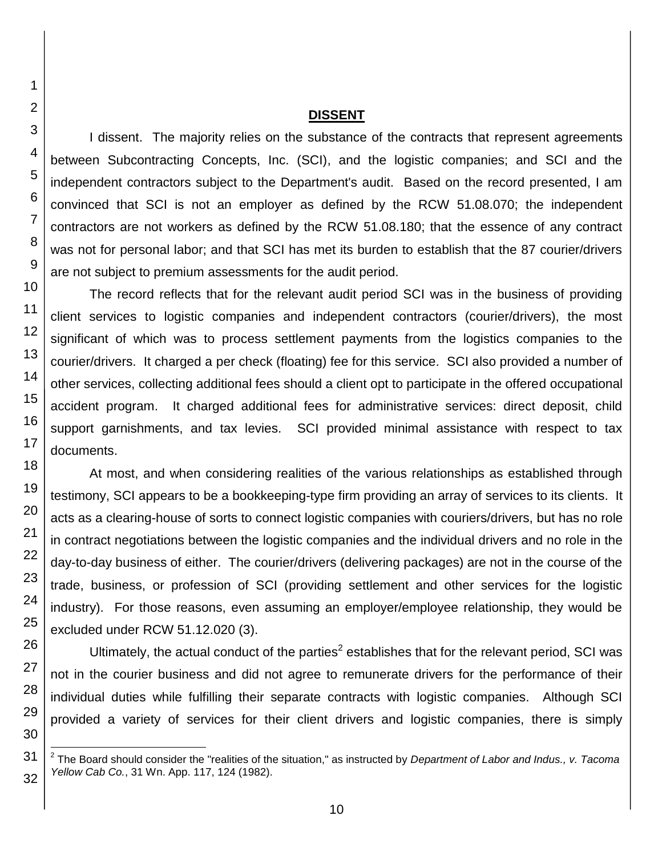#### **DISSENT**

I dissent. The majority relies on the substance of the contracts that represent agreements between Subcontracting Concepts, Inc. (SCI), and the logistic companies; and SCI and the independent contractors subject to the Department's audit. Based on the record presented, I am convinced that SCI is not an employer as defined by the RCW 51.08.070; the independent contractors are not workers as defined by the RCW 51.08.180; that the essence of any contract was not for personal labor; and that SCI has met its burden to establish that the 87 courier/drivers are not subject to premium assessments for the audit period.

The record reflects that for the relevant audit period SCI was in the business of providing client services to logistic companies and independent contractors (courier/drivers), the most significant of which was to process settlement payments from the logistics companies to the courier/drivers. It charged a per check (floating) fee for this service. SCI also provided a number of other services, collecting additional fees should a client opt to participate in the offered occupational accident program. It charged additional fees for administrative services: direct deposit, child support garnishments, and tax levies. SCI provided minimal assistance with respect to tax documents.

At most, and when considering realities of the various relationships as established through testimony, SCI appears to be a bookkeeping-type firm providing an array of services to its clients. It acts as a clearing-house of sorts to connect logistic companies with couriers/drivers, but has no role in contract negotiations between the logistic companies and the individual drivers and no role in the day-to-day business of either. The courier/drivers (delivering packages) are not in the course of the trade, business, or profession of SCI (providing settlement and other services for the logistic industry). For those reasons, even assuming an employer/employee relationship, they would be excluded under RCW 51.12.020 (3).

Ultimately, the actual conduct of the parties<sup>2</sup> establishes that for the relevant period, SCI was not in the courier business and did not agree to remunerate drivers for the performance of their individual duties while fulfilling their separate contracts with logistic companies. Although SCI provided a variety of services for their client drivers and logistic companies, there is simply

l

<sup>2</sup> The Board should consider the "realities of the situation," as instructed by *Department of Labor and Indus., v. Tacoma Yellow Cab Co.*, 31 Wn. App. 117, 124 (1982).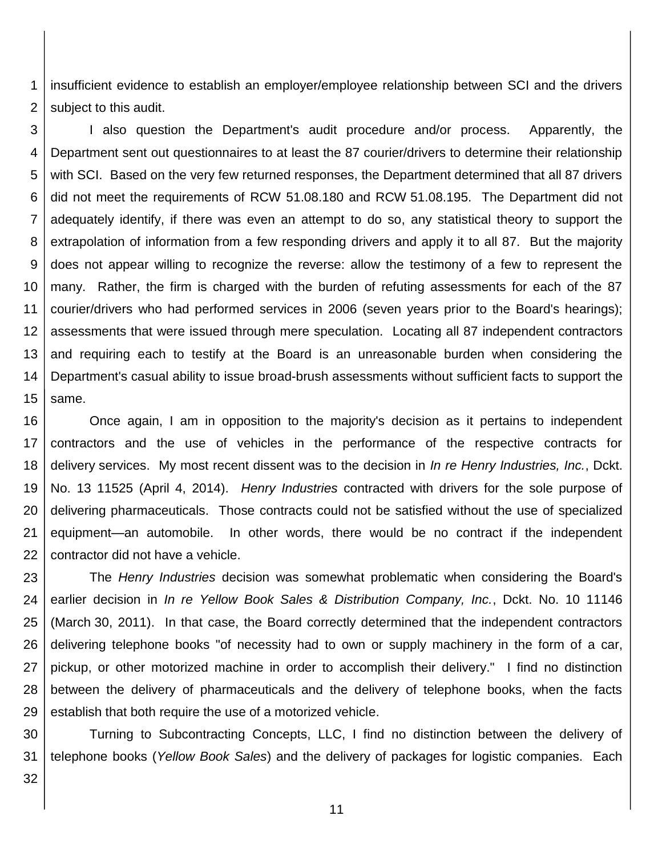1 2 insufficient evidence to establish an employer/employee relationship between SCI and the drivers subject to this audit.

3 4 5 6 7 8 9 10 11 12 13 14 15 I also question the Department's audit procedure and/or process. Apparently, the Department sent out questionnaires to at least the 87 courier/drivers to determine their relationship with SCI. Based on the very few returned responses, the Department determined that all 87 drivers did not meet the requirements of RCW 51.08.180 and RCW 51.08.195. The Department did not adequately identify, if there was even an attempt to do so, any statistical theory to support the extrapolation of information from a few responding drivers and apply it to all 87. But the majority does not appear willing to recognize the reverse: allow the testimony of a few to represent the many. Rather, the firm is charged with the burden of refuting assessments for each of the 87 courier/drivers who had performed services in 2006 (seven years prior to the Board's hearings); assessments that were issued through mere speculation. Locating all 87 independent contractors and requiring each to testify at the Board is an unreasonable burden when considering the Department's casual ability to issue broad-brush assessments without sufficient facts to support the same.

16 17 18 19 20 21 22 Once again, I am in opposition to the majority's decision as it pertains to independent contractors and the use of vehicles in the performance of the respective contracts for delivery services. My most recent dissent was to the decision in *In re Henry Industries, Inc.*, Dckt. No. 13 11525 (April 4, 2014). *Henry Industries* contracted with drivers for the sole purpose of delivering pharmaceuticals. Those contracts could not be satisfied without the use of specialized equipment—an automobile. In other words, there would be no contract if the independent contractor did not have a vehicle.

23 24 25 26 27 28 29 The *Henry Industries* decision was somewhat problematic when considering the Board's earlier decision in *In re Yellow Book Sales & Distribution Company, Inc.*, Dckt. No. 10 11146 (March 30, 2011). In that case, the Board correctly determined that the independent contractors delivering telephone books "of necessity had to own or supply machinery in the form of a car, pickup, or other motorized machine in order to accomplish their delivery." I find no distinction between the delivery of pharmaceuticals and the delivery of telephone books, when the facts establish that both require the use of a motorized vehicle.

30 31 Turning to Subcontracting Concepts, LLC, I find no distinction between the delivery of telephone books (*Yellow Book Sales*) and the delivery of packages for logistic companies. Each

32